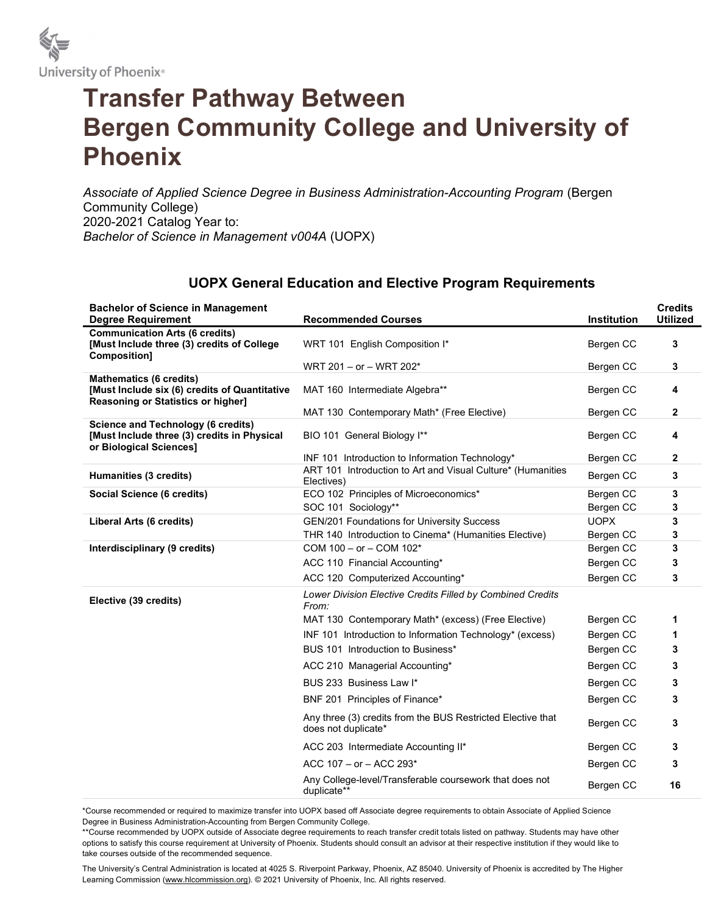

## Transfer Pathway Between Bergen Community College and University of Phoenix

Associate of Applied Science Degree in Business Administration-Accounting Program (Bergen Community College) 2020-2021 Catalog Year to: Bachelor of Science in Management v004A (UOPX)

## UOPX General Education and Elective Program Requirements

| <b>Bachelor of Science in Management</b><br><b>Degree Requirement</b>                                                 | <b>Recommended Courses</b>                                                         | Institution | <b>Credits</b><br><b>Utilized</b> |
|-----------------------------------------------------------------------------------------------------------------------|------------------------------------------------------------------------------------|-------------|-----------------------------------|
| <b>Communication Arts (6 credits)</b><br>[Must Include three (3) credits of College<br><b>Composition]</b>            | WRT 101 English Composition I*                                                     | Bergen CC   | 3                                 |
|                                                                                                                       | WRT 201 - or - WRT 202*                                                            | Bergen CC   | 3                                 |
| <b>Mathematics (6 credits)</b><br>[Must Include six (6) credits of Quantitative<br>Reasoning or Statistics or higher] | MAT 160 Intermediate Algebra**                                                     | Bergen CC   | 4                                 |
|                                                                                                                       | MAT 130 Contemporary Math* (Free Elective)                                         | Bergen CC   | $\overline{2}$                    |
| <b>Science and Technology (6 credits)</b><br>[Must Include three (3) credits in Physical<br>or Biological Sciences]   | BIO 101 General Biology I**                                                        | Bergen CC   | 4                                 |
|                                                                                                                       | INF 101 Introduction to Information Technology*                                    | Bergen CC   | $\mathbf{2}$                      |
| Humanities (3 credits)                                                                                                | ART 101 Introduction to Art and Visual Culture* (Humanities<br>Electives)          | Bergen CC   | 3                                 |
| Social Science (6 credits)                                                                                            | ECO 102 Principles of Microeconomics*                                              | Bergen CC   | 3                                 |
|                                                                                                                       | SOC 101 Sociology**                                                                | Bergen CC   | 3                                 |
| <b>Liberal Arts (6 credits)</b>                                                                                       | <b>GEN/201 Foundations for University Success</b>                                  | <b>UOPX</b> | 3                                 |
|                                                                                                                       | THR 140 Introduction to Cinema* (Humanities Elective)                              | Bergen CC   | 3                                 |
| Interdisciplinary (9 credits)                                                                                         | COM 100 - or - COM 102*                                                            | Bergen CC   | 3                                 |
|                                                                                                                       | ACC 110 Financial Accounting*                                                      | Bergen CC   | 3                                 |
|                                                                                                                       | ACC 120 Computerized Accounting*                                                   | Bergen CC   | 3                                 |
| Elective (39 credits)                                                                                                 | Lower Division Elective Credits Filled by Combined Credits<br>From:                |             |                                   |
|                                                                                                                       | MAT 130 Contemporary Math* (excess) (Free Elective)                                | Bergen CC   | 1                                 |
|                                                                                                                       | INF 101 Introduction to Information Technology* (excess)                           | Bergen CC   | 1                                 |
|                                                                                                                       | BUS 101 Introduction to Business*                                                  | Bergen CC   | 3                                 |
|                                                                                                                       | ACC 210 Managerial Accounting*                                                     | Bergen CC   | 3                                 |
|                                                                                                                       | BUS 233 Business Law I*                                                            | Bergen CC   | 3                                 |
|                                                                                                                       | BNF 201 Principles of Finance*                                                     | Bergen CC   | 3                                 |
|                                                                                                                       | Any three (3) credits from the BUS Restricted Elective that<br>does not duplicate* | Bergen CC   | 3                                 |
|                                                                                                                       | ACC 203 Intermediate Accounting II*                                                | Bergen CC   | 3                                 |
|                                                                                                                       | ACC 107 - or - ACC 293*                                                            | Bergen CC   | 3                                 |
|                                                                                                                       | Any College-level/Transferable coursework that does not<br>duplicate**             | Bergen CC   | 16                                |

\*Course recommended or required to maximize transfer into UOPX based off Associate degree requirements to obtain Associate of Applied Science Degree in Business Administration-Accounting from Bergen Community College.

\*\*Course recommended by UOPX outside of Associate degree requirements to reach transfer credit totals listed on pathway. Students may have other options to satisfy this course requirement at University of Phoenix. Students should consult an advisor at their respective institution if they would like to take courses outside of the recommended sequence.

The University's Central Administration is located at 4025 S. Riverpoint Parkway, Phoenix, AZ 85040. University of Phoenix is accredited by The Higher Learning Commission (www.hlcommission.org). © 2021 University of Phoenix, Inc. All rights reserved.